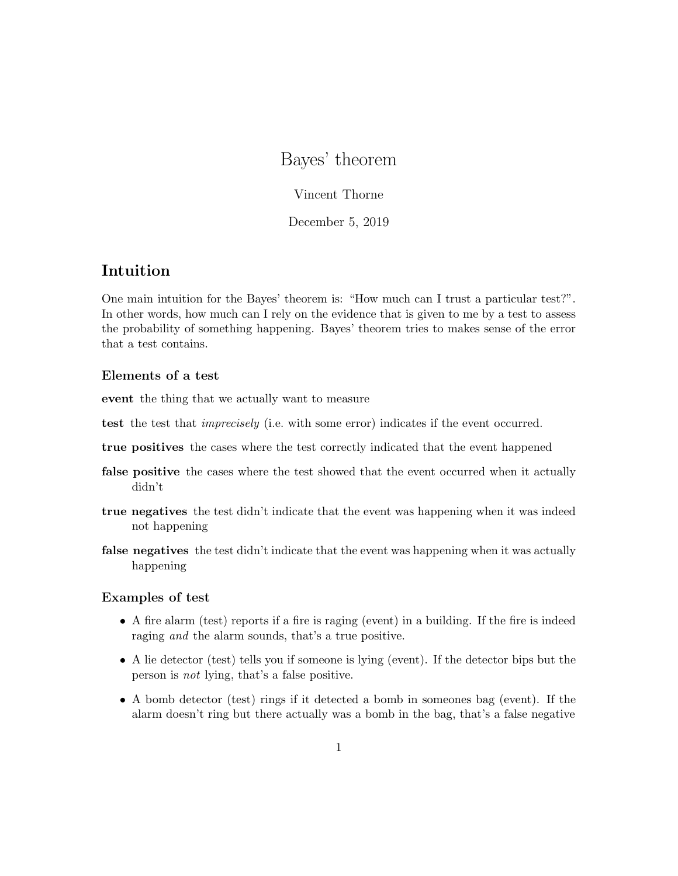# Bayes' theorem

Vincent Thorne

December 5, 2019

## Intuition

One main intuition for the Bayes' theorem is: "How much can I trust a particular test?". In other words, how much can I rely on the evidence that is given to me by a test to assess the probability of something happening. Bayes' theorem tries to makes sense of the error that a test contains.

### Elements of a test

event the thing that we actually want to measure

- test that *imprecisely* (i.e. with some error) indicates if the event occurred.
- true positives the cases where the test correctly indicated that the event happened
- false positive the cases where the test showed that the event occurred when it actually didn't
- true negatives the test didn't indicate that the event was happening when it was indeed not happening
- false negatives the test didn't indicate that the event was happening when it was actually happening

#### Examples of test

- A fire alarm (test) reports if a fire is raging (event) in a building. If the fire is indeed raging and the alarm sounds, that's a true positive.
- A lie detector (test) tells you if someone is lying (event). If the detector bips but the person is not lying, that's a false positive.
- A bomb detector (test) rings if it detected a bomb in someones bag (event). If the alarm doesn't ring but there actually was a bomb in the bag, that's a false negative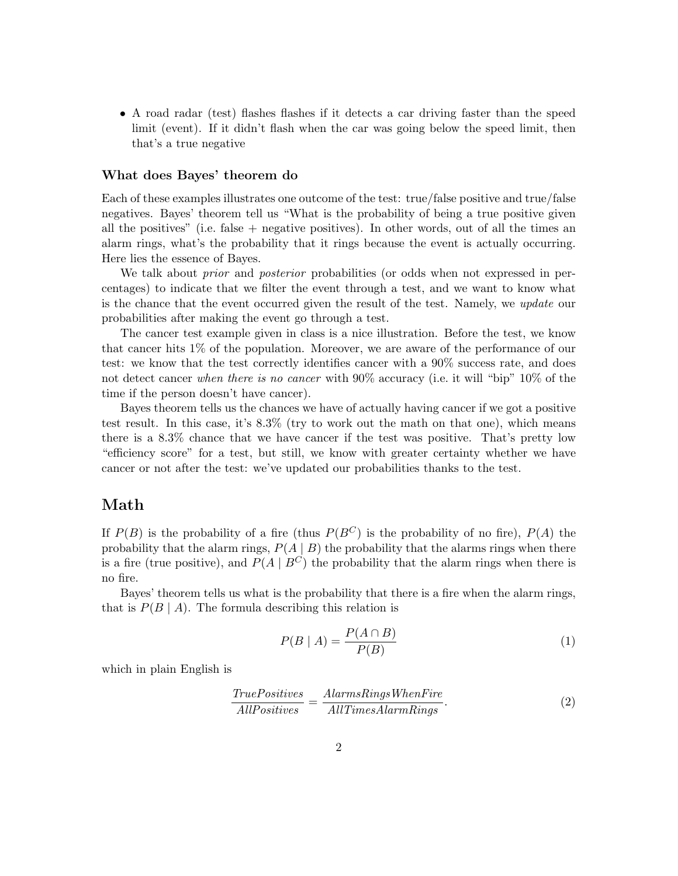• A road radar (test) flashes flashes if it detects a car driving faster than the speed limit (event). If it didn't flash when the car was going below the speed limit, then that's a true negative

#### What does Bayes' theorem do

Each of these examples illustrates one outcome of the test: true/false positive and true/false negatives. Bayes' theorem tell us "What is the probability of being a true positive given all the positives" (i.e. false  $+$  negative positives). In other words, out of all the times an alarm rings, what's the probability that it rings because the event is actually occurring. Here lies the essence of Bayes.

We talk about *prior* and *posterior* probabilities (or odds when not expressed in percentages) to indicate that we filter the event through a test, and we want to know what is the chance that the event occurred given the result of the test. Namely, we update our probabilities after making the event go through a test.

The cancer test example given in class is a nice illustration. Before the test, we know that cancer hits 1% of the population. Moreover, we are aware of the performance of our test: we know that the test correctly identifies cancer with a 90% success rate, and does not detect cancer when there is no cancer with 90% accuracy (i.e. it will "bip" 10% of the time if the person doesn't have cancer).

Bayes theorem tells us the chances we have of actually having cancer if we got a positive test result. In this case, it's 8.3% (try to work out the math on that one), which means there is a 8.3% chance that we have cancer if the test was positive. That's pretty low "efficiency score" for a test, but still, we know with greater certainty whether we have cancer or not after the test: we've updated our probabilities thanks to the test.

### Math

If  $P(B)$  is the probability of a fire (thus  $P(B^C)$ ) is the probability of no fire),  $P(A)$  the probability that the alarm rings,  $P(A | B)$  the probability that the alarms rings when there is a fire (true positive), and  $P(A | B^C)$  the probability that the alarm rings when there is no fire.

Bayes' theorem tells us what is the probability that there is a fire when the alarm rings, that is  $P(B \mid A)$ . The formula describing this relation is

$$
P(B \mid A) = \frac{P(A \cap B)}{P(B)}\tag{1}
$$

which in plain English is

$$
\frac{TruePositives}{AllPositives} = \frac{AlarmsRings WhenFire}{AllTimesAlarm Rings}.\tag{2}
$$